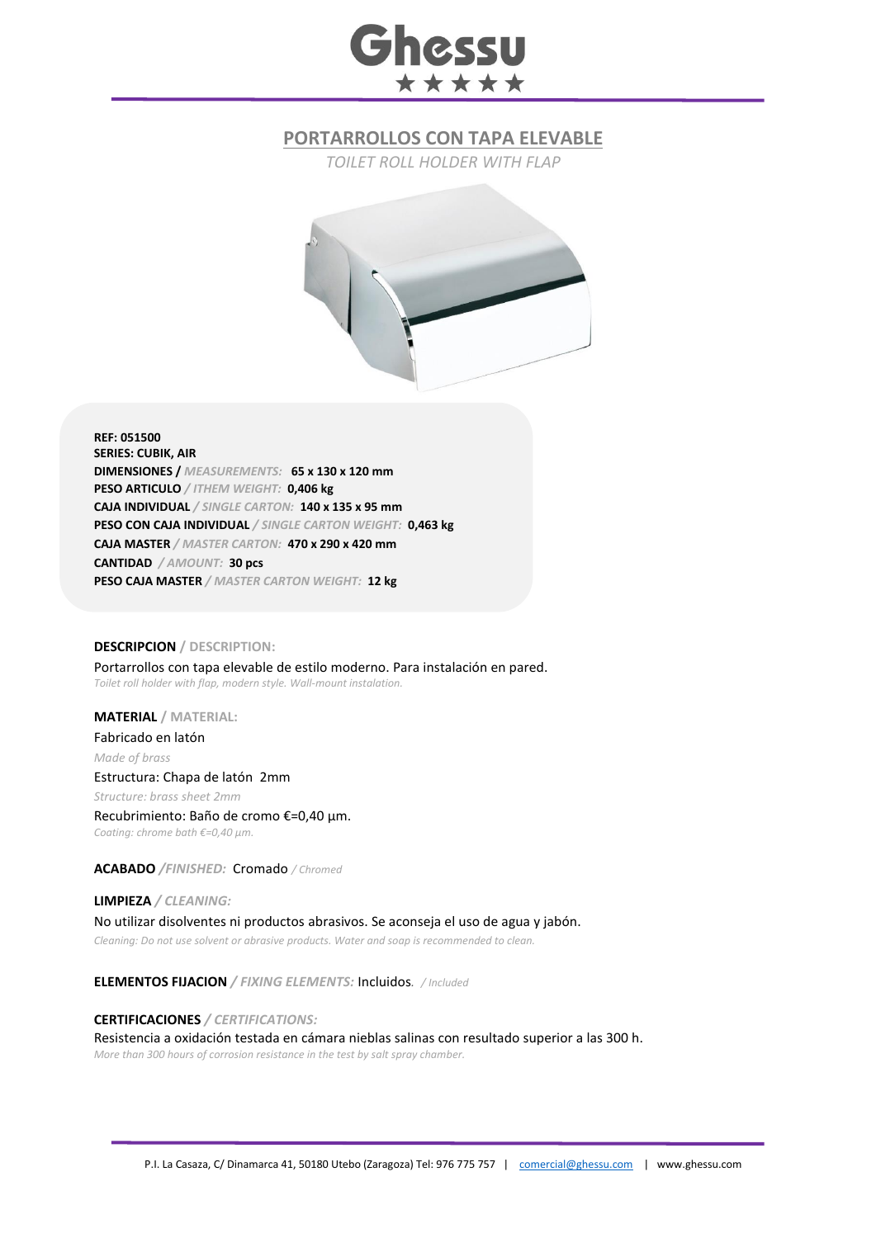# Ghessu \*\*\*\*\*

## **PORTARROLLOS CON TAPA ELEVABLE**

*TOILET ROLL HOLDER WITH FLAP*



**REF: 051500 SERIES: CUBIK, AIR DIMENSIONES /** *MEASUREMENTS:* **65 x 130 x 120 mm PESO ARTICULO** */ ITHEM WEIGHT:* **0,406 kg CAJA INDIVIDUAL** */ SINGLE CARTON:* **140 x 135 x 95 mm PESO CON CAJA INDIVIDUAL** */ SINGLE CARTON WEIGHT:* **0,463 kg CAJA MASTER** */ MASTER CARTON:* **470 x 290 x 420 mm CANTIDAD** */ AMOUNT:* **30 pcs PESO CAJA MASTER** */ MASTER CARTON WEIGHT:* **12 kg**

#### **DESCRIPCION / DESCRIPTION:**

Portarrollos con tapa elevable de estilo moderno. Para instalación en pared. *Toilet roll holder with flap, modern style. Wall-mount instalation.*

### **MATERIAL / MATERIAL:**

Fabricado en latón *Made of brass* Estructura: Chapa de latón 2mm *Structure: brass sheet 2mm* Recubrimiento: Baño de cromo €=0,40 μm.

*Coating: chrome bath €=0,40 μm.*

**ACABADO** */FINISHED:*Cromado */ Chromed*

**LIMPIEZA** */ CLEANING:* No utilizar disolventes ni productos abrasivos. Se aconseja el uso de agua y jabón. *Cleaning: Do not use solvent or abrasive products. Water and soap is recommended to clean.*

**ELEMENTOS FIJACION** */ FIXING ELEMENTS:* Incluidos*. / Included*

**CERTIFICACIONES** */ CERTIFICATIONS:* Resistencia a oxidación testada en cámara nieblas salinas con resultado superior a las 300 h. *More than 300 hours of corrosion resistance in the test by salt spray chamber.*